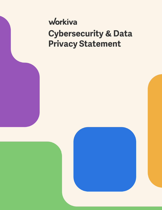# workiva **Cybersecurity & Data Privacy Statement**

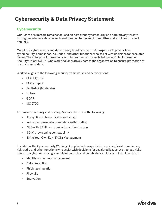## **Cybersecurity & Data Privacy Statement**

#### **Cybersecurity**

Our Board of Directors remains focused on persistent cybersecurity and data privacy threats through regular reports at every board meeting to the audit committee and a full board report annually.

Our global cybersecurity and data privacy is led by a team with expertise in privacy law, cybersecurity, compliance, risk, audit, and other functions who assist with decisions for escalated issues. The enterprise information security program and team is led by our Chief Information Security Officer (CISO), who works collaboratively across the organization to ensure protection of our customers' data.

Workiva aligns to the following security frameworks and certifications:

- SOC 1 Type 2
- SOC 2 Type 2
- FedRAMP (Moderate)
- HIPAA
- GDPR
- ISO 27001

To maximize security and privacy, Workiva also offers the following:

- Encryption in transmission and at rest
- Advanced permissions and data authorization
- SSO with SAML and two-factor authentication
- SCIM provisioning compatibility
- Bring Your Own Key (BYOK) Management

In addition, the Cybersecurity Working Group includes experts from privacy, legal, compliance, risk, audit, and other functions who assist with decisions for escalated issues. We manage risks related to cybercrime using a variety of controls and capabilities, including but not limited to:

- Identity and access management
- Data protection
- Phishing simulation
- Firewalls
- Encryption

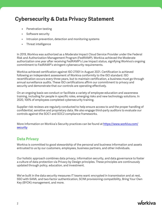### **Cybersecurity & Data Privacy Statement**

- **•** Penetration testing
- Software security
- Intrusion prevention, detection and monitoring systems
- Threat intelligence

In 2019, Workiva was authorized as a Moderate Impact Cloud Service Provider under the Federal Risk and Authorization Management Program (FedRAMP). Workiva achieved the Moderate authorization one year after receiving FedRAMP's Low Impact status, signifying Workiva's ongoing commitment to FedRAMP's stringent cybersecurity requirements.

Workiva achieved certification against ISO 27001 in August 2021. Certification is achieved following an independent assessment of Workiva conformity to the ISO standard. ISO recertification occurs every three years, but to maintain certification, a business must go through annual surveillance audits. These ISO certifications affirm our commitment to privacy and security and demonstrate that our controls are operating effectively.

On an ongoing basis we conduct or facilitate a variety of employee education and awareness training, including for people in specific roles, emerging risks and new technology solutions. In 2020, 100% of employees completed cybersecurity training.

Supplier risk reviews are regularly conducted to help ensure access to and the proper handling of confidential, sensitive and proprietary data. We also engage third-party auditors to evaluate our controls against the SOC1 and SOC2 compliance frameworks.

More Information on Workiva's Security practices can be found at [https://www.workiva.com/](https://www.workiva.com/security) [security](https://www.workiva.com/security)

#### **Data Privacy**

Workiva is committed to good stewardship of the personal and business information and assets entrusted to us by our customers, employees, business partners, and other individuals.

Our holistic approach combines data privacy, information security, and data governance to foster a culture of data protection via Privacy by Design principles. These principles are continuously updated through policy, education, and investment.

We've built in the data security measures IT teams want: encrypted in transmission and at rest, SSO with SAML and two-factor authentication, SCIM provisioning compatibility, Bring Your Own Key (BYOK) management, and more.